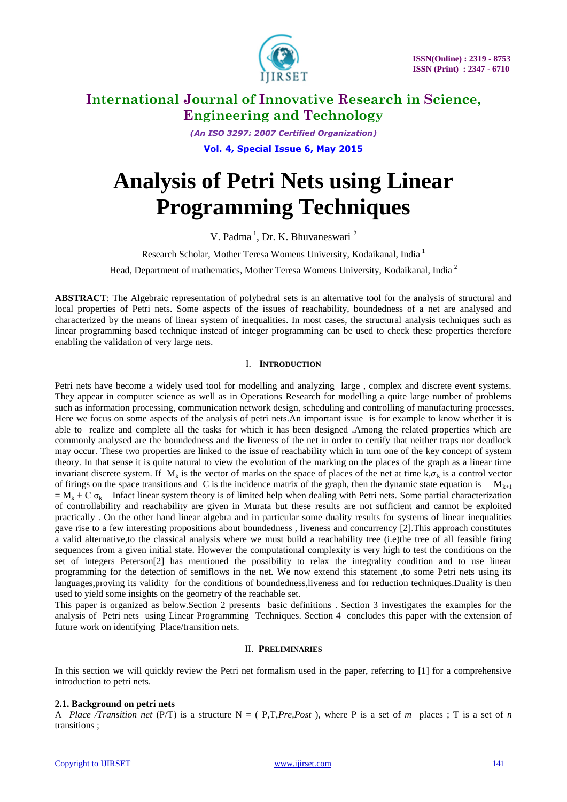

*(An ISO 3297: 2007 Certified Organization)* **Vol. 4, Special Issue 6, May 2015**

# **Analysis of Petri Nets using Linear Programming Techniques**

V. Padma<sup>1</sup>, Dr. K. Bhuvaneswari<sup>2</sup>

Research Scholar, Mother Teresa Womens University, Kodaikanal, India<sup>1</sup>

Head, Department of mathematics, Mother Teresa Womens University, Kodaikanal, India <sup>2</sup>

**ABSTRACT**: The Algebraic representation of polyhedral sets is an alternative tool for the analysis of structural and local properties of Petri nets. Some aspects of the issues of reachability, boundedness of a net are analysed and characterized by the means of linear system of inequalities. In most cases, the structural analysis techniques such as linear programming based technique instead of integer programming can be used to check these properties therefore enabling the validation of very large nets.

### I. **INTRODUCTION**

Petri nets have become a widely used tool for modelling and analyzing large , complex and discrete event systems. They appear in computer science as well as in Operations Research for modelling a quite large number of problems such as information processing, communication network design, scheduling and controlling of manufacturing processes. Here we focus on some aspects of the analysis of petri nets.An important issue is for example to know whether it is able to realize and complete all the tasks for which it has been designed .Among the related properties which are commonly analysed are the boundedness and the liveness of the net in order to certify that neither traps nor deadlock may occur. These two properties are linked to the issue of reachability which in turn one of the key concept of system theory. In that sense it is quite natural to view the evolution of the marking on the places of the graph as a linear time invariant discrete system. If  $M_k$  is the vector of marks on the space of places of the net at time k,  $\sigma_k$  is a control vector of firings on the space transitions and C is the incidence matrix of the graph, then the dynamic state equation is  $M_{k+1}$  $= M_k + C \sigma_k$  Infact linear system theory is of limited help when dealing with Petri nets. Some partial characterization of controllability and reachability are given in Murata but these results are not sufficient and cannot be exploited practically . On the other hand linear algebra and in particular some duality results for systems of linear inequalities gave rise to a few interesting propositions about boundedness , liveness and concurrency [2].This approach constitutes a valid alternative,to the classical analysis where we must build a reachability tree (i.e)the tree of all feasible firing sequences from a given initial state. However the computational complexity is very high to test the conditions on the set of integers Peterson[2] has mentioned the possibility to relax the integrality condition and to use linear programming for the detection of semiflows in the net. We now extend this statement ,to some Petri nets using its languages, proving its validity for the conditions of boundedness, liveness and for reduction techniques. Duality is then used to yield some insights on the geometry of the reachable set.

This paper is organized as below.Section 2 presents basic definitions . Section 3 investigates the examples for the analysis of Petri nets using Linear Programming Techniques. Section 4 concludes this paper with the extension of future work on identifying Place/transition nets.

### II. **PRELIMINARIES**

In this section we will quickly review the Petri net formalism used in the paper, referring to [1] for a comprehensive introduction to petri nets.

### **2.1. Background on petri nets**

A *Place Transition net* (P/T) is a structure  $N = (P, T, Pre, Post)$ , where P is a set of *m* places; T is a set of *n* transitions ;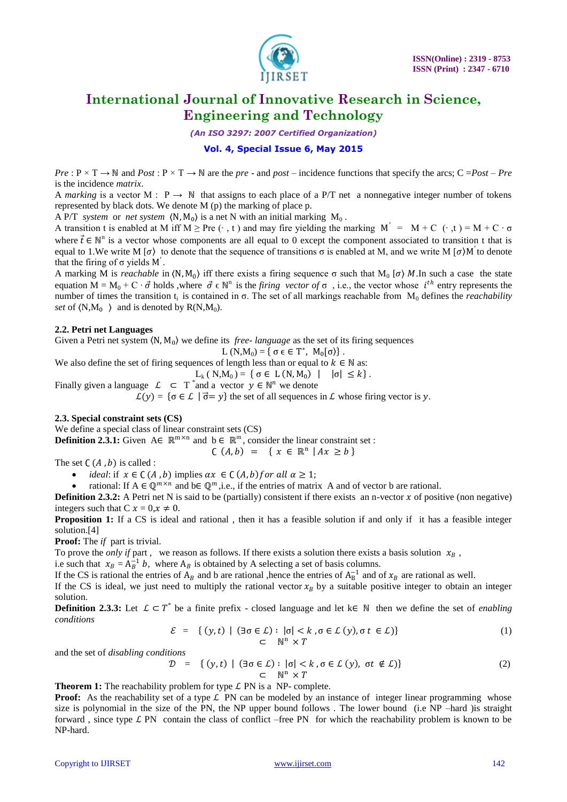

*(An ISO 3297: 2007 Certified Organization)*

# **Vol. 4, Special Issue 6, May 2015**

 $Pre : P \times T \to \mathbb{N}$  and  $Post : P \times T \to \mathbb{N}$  are the *pre* - and *post* – incidence functions that specify the arcs; C = *Post* – *Pre* is the incidence *matrix*.

A *marking* is a vector M :  $P \rightarrow N$  that assigns to each place of a P/T net a nonnegative integer number of tokens represented by black dots. We denote M (p) the marking of place p.

A P/T *system* or *net system*  $\langle N, M_0 \rangle$  is a net N with an initial marking  $M_0$ .

A transition t is enabled at M iff M ≥ Pre ( $\cdot$ , t) and may fire yielding the marking M' = M + C ( $\cdot$ ,t) = M + C  $\cdot$   $\sigma$ where  $\vec{t} \in \mathbb{N}^n$  is a vector whose components are all equal to 0 except the component associated to transition t that is equal to 1. We write M [ $\sigma$ ) to denote that the sequence of transitions  $\sigma$  is enabled at M, and we write M [ $\sigma$ )M' to denote that the firing of  $\sigma$  yields M'.

A marking M is *reachable* in  $(N, M_0)$  iff there exists a firing sequence  $\sigma$  such that  $M_0$  [ $\sigma$ ) M. In such a case the state equation  $M = M_0 + C \cdot \vec{\sigma}$  holds, where  $\vec{\sigma} \in \mathbb{N}^n$  is the *firing vector of*  $\sigma$ , i.e., the vector whose  $i^{th}$  entry represents the number of times the transition t<sub>i</sub> is contained in σ. The set of all markings reachable from  $M_0$  defines the *reachability set* of  $(N,M_0)$  and is denoted by  $R(N,M_0)$ .

#### **2.2. Petri net Languages**

Given a Petri net system  $\langle N, M_0 \rangle$  we define its *free-language* as the set of its firing sequences

$$
L\left(N,M_0\right)=\left\{\,\sigma\in\in\,T^*,\ M_0[\sigma)\right\}.
$$

We also define the set of firing sequences of length less than or equal to  $k \in \mathbb{N}$  as:

L<sub>k</sub> ( N,M<sub>0</sub>) = {  $\sigma \in L(N, M_0)$  |  $|\sigma| \leq k$  }.

Finally given a language  $\mathcal{L} \subset T^*$  and a vector  $y \in \mathbb{N}^n$  we denote

 $\mathcal{L}(\gamma) = \{\sigma \in \mathcal{L} \mid \vec{\sigma} = \gamma\}$  the set of all sequences in  $\mathcal{L}$  whose firing vector is  $\gamma$ .

### **2.3. Special constraint sets (CS)**

We define a special class of linear constraint sets (CS)

**Definition 2.3.1:** Given  $A \in \mathbb{R}^{m \times n}$  and  $b \in \mathbb{R}^{m}$ , consider the linear constraint set :

The set  $C(A, b)$  is called :

*ideal*: if  $x \in C(A, b)$  implies  $\alpha x \in C(A, b)$  for all  $\alpha \geq 1$ ;

• rational: If A ∈  $\mathbb{Q}^{m \times n}$  and b∈  $\mathbb{Q}^{m}$ , i.e., if the entries of matrix A and of vector b are rational.

**Definition 2.3.2:** A Petri net N is said to be (partially) consistent if there exists an n-vector  $x$  of positive (non negative) integers such that C  $x = 0, x \neq 0$ .

 $C(A, b) = \{ x \in \mathbb{R}^n \mid Ax \geq b \}$ 

**Proposition 1:** If a CS is ideal and rational, then it has a feasible solution if and only if it has a feasible integer solution.[4]

**Proof:** The *if* part is trivial.

To prove the *only if* part, we reason as follows. If there exists a solution there exists a basis solution  $x_B$ ,

i.e such that  $x_B = A_B^{-1} b$ , where  $A_B$  is obtained by A selecting a set of basis columns.

If the CS is rational the entries of  $A_B$  and b are rational ,hence the entries of  $A_B^{-1}$  and of  $x_B$  are rational as well.

If the CS is ideal, we just need to multiply the rational vector  $x_B$  by a suitable positive integer to obtain an integer solution.

**Definition 2.3.3:** Let  $\mathcal{L} \subset T^*$  be a finite prefix - closed language and let k $\in \mathbb{N}$  then we define the set of *enabling conditions*

$$
\mathcal{E} = \{ (y, t) \mid (\exists \sigma \in \mathcal{L}) : |\sigma| < k, \sigma \in \mathcal{L} \ (y), \sigma \ t \in \mathcal{L} \} \tag{1}
$$
\n
$$
\subset \mathbb{N}^n \times T
$$

and the set of *disabling conditions*

$$
\mathcal{D} = \{ (y, t) \mid (\exists \sigma \in \mathcal{L}) : |\sigma| < k, \sigma \in \mathcal{L} \ (y), \ \sigma t \notin \mathcal{L} \} \tag{2}
$$
\n
$$
\subset \mathbb{N}^n \times T
$$

**Theorem 1:** The reachability problem for type  $\mathcal{L}$  PN is a NP- complete.

**Proof:** As the reachability set of a type  $\mathcal{L}$  PN can be modeled by an instance of integer linear programming whose size is polynomial in the size of the PN, the NP upper bound follows . The lower bound (i.e NP –hard )is straight forward, since type  $\mathcal{L}$  PN contain the class of conflict –free PN for which the reachability problem is known to be NP-hard.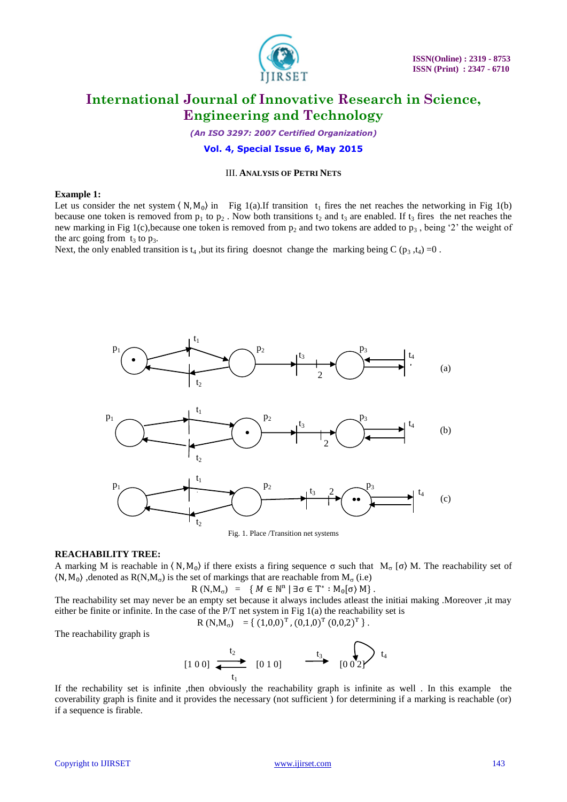

*(An ISO 3297: 2007 Certified Organization)* **Vol. 4, Special Issue 6, May 2015**

## III. **ANALYSIS OF PETRI NETS**

#### **Example 1:**

Let us consider the net system  $\langle N, M_0 \rangle$  in Fig 1(a).If transition  $t_1$  fires the net reaches the networking in Fig 1(b) because one token is removed from  $p_1$  to  $p_2$ . Now both transitions  $t_2$  and  $t_3$  are enabled. If  $t_3$  fires the net reaches the new marking in Fig 1(c), because one token is removed from  $p_2$  and two tokens are added to  $p_3$ , being '2' the weight of the arc going from  $t_3$  to  $p_3$ .

Next, the only enabled transition is  $t_4$ , but its firing doesnot change the marking being C ( $p_3$ , $t_4$ ) =0.



#### **REACHABILITY TREE:**

A marking M is reachable in  $\langle N, M_0 \rangle$  if there exists a firing sequence  $\sigma$  such that  $M_\sigma$  [ $\sigma$ ) M. The reachability set of  $\langle N, M_0 \rangle$ , denoted as  $R(N, M_0)$  is the set of markings that are reachable from  $M_\sigma$  (i.e)

$$
R(N,M_{\sigma}) = \{ M \in \mathbb{N}^{n} \mid \exists \sigma \in T^* : M_0[\sigma) M \}.
$$

The reachability set may never be an empty set because it always includes atleast the initiai making .Moreover ,it may either be finite or infinite. In the case of the  $P/T$  net system in Fig 1(a) the reachability set is

$$
R(N,M_{\sigma}) = \{ (1,0,0)^{T}, (0,1,0)^{T} (0,0,2)^{T} \}.
$$

The reachability graph is

$$
[1 0 0] \xrightarrow[t_1]{t_2} [0 1 0] \xrightarrow[t_3]{t_3} [0 0 2]
$$

If the rechability set is infinite ,then obviously the reachability graph is infinite as well . In this example the coverability graph is finite and it provides the necessary (not sufficient ) for determining if a marking is reachable (or) if a sequence is firable.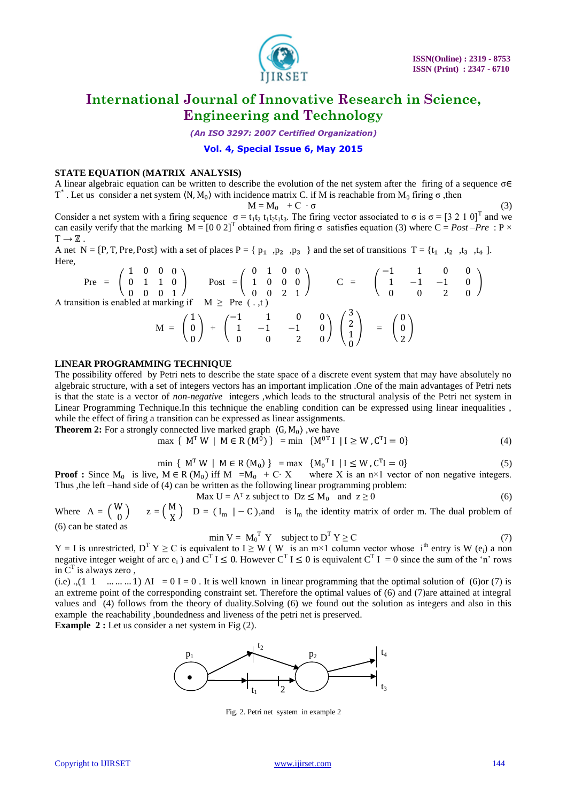

*(An ISO 3297: 2007 Certified Organization)*

### **Vol. 4, Special Issue 6, May 2015**

## **STATE EQUATION (MATRIX ANALYSIS)**

A linear algebraic equation can be written to describe the evolution of the net system after the firing of a sequence  $\sigma \in$ T<sup>\*</sup>. Let us consider a net system  $\langle N, M_0 \rangle$  with incidence matrix C. if M is reachable from  $M_0$  firing  $\sigma$ , then

$$
M = M_0 + C \cdot \sigma
$$

$$
M = M_0 + C \cdot \sigma
$$
\nString sequence  $\sigma = t_1 t_2 t_1 t_2 t_1 t_3$ . The firing vector associated to  $\sigma$  is  $\sigma = [3 \ 2 \ 1 \ 0]^T$  and we

\nUsing  $\sigma = [3 \ 2 \ 1 \ 0]^T$  and we find:

Consider a net system with a f can easily verify that the marking  $M = [0 \ 0 \ 2]^T$  obtained from firing  $\sigma$  satisfies equation (3) where  $C = Post - Pre$ : P ×  $T \rightarrow \mathbb{Z}$ .

A net N = {P, T, Pre, Post} with a set of places P = {  $p_1$ ,  $p_2$ ,  $p_3$ } and the set of transitions T = { $t_1$ ,  $t_2$ ,  $t_3$ ,  $t_4$ ]. Here,

$$
\text{Pre } = \begin{pmatrix} 1 & 0 & 0 & 0 \\ 0 & 1 & 1 & 0 \\ 0 & 0 & 0 & 1 \end{pmatrix} \quad \text{Post } = \begin{pmatrix} 0 & 1 & 0 & 0 \\ 1 & 0 & 0 & 0 \\ 0 & 0 & 2 & 1 \end{pmatrix} \quad \text{C } = \begin{pmatrix} -1 & 1 & 0 & 0 \\ 1 & -1 & -1 & 0 \\ 0 & 0 & 2 & 0 \end{pmatrix}
$$
\n
$$
\text{A transition is enabled at marking if } M \ge \text{ Pre } (\dots, t)
$$
\n
$$
M = \begin{pmatrix} 1 \\ 0 \\ 0 \end{pmatrix} + \begin{pmatrix} -1 & 1 & 0 & 0 \\ 1 & -1 & -1 & 0 \\ 0 & 0 & 2 & 0 \end{pmatrix} \begin{pmatrix} 3 \\ 2 \\ 1 \\ 0 \end{pmatrix} = \begin{pmatrix} 0 \\ 0 \\ 2 \end{pmatrix}
$$

### **LINEAR PROGRAMMING TECHNIQUE**

The possibility offered by Petri nets to describe the state space of a discrete event system that may have absolutely no algebraic structure, with a set of integers vectors has an important implication .One of the main advantages of Petri nets is that the state is a vector of *non-negative* integers ,which leads to the structural analysis of the Petri net system in Linear Programming Technique.In this technique the enabling condition can be expressed using linear inequalities , while the effect of firing a transition can be expressed as linear assignments.

**Theorem 2:** For a strongly connected live marked graph  $\langle G, M_0 \rangle$ , we have

$$
\max \{ M^T W \mid M \in R(M^0) \} = \min \{ M^{0T} I \mid I \ge W, C^T I = 0 \}
$$
 (4)

$$
\min \{ M^T W \mid M \in R(M_0) \} = \max \{ M_0^T I \mid I \le W, C^T I = 0 \}
$$
 (5)

**Proof :** Since  $M_0$  is live,  $M \in R(M_0)$  iff  $M = M_0 + C \cdot X$  where X is an n×1 vector of non negative integers. Thus ,the left –hand side of (4) can be written as the following linear programming problem:

Max  $U = A<sup>T</sup> z$  subject to  $Dz \le M_0$  and  $z \ge 0$  (6)

0

Where  $A = \begin{pmatrix} W \\ 0 \end{pmatrix}$  $\binom{N}{0}$  z =  $\binom{M}{X}$  $X$  D = (I<sub>m</sub> | – C), and is I<sub>m</sub> the identity matrix of order m. The dual problem of (6) can be stated as

$$
\min V = M_0^{\mathrm{T}} Y \quad \text{subject to } D^{\mathrm{T}} Y \ge C \tag{7}
$$

 $Y = I$  is unrestricted,  $D^T Y \ge C$  is equivalent to  $I \ge W$  (W is an m×1 column vector whose i<sup>th</sup> entry is W (e<sub>i</sub>) a non negative integer weight of arc  $e_i$ ) and  $C^T I \le 0$ . However  $C^T I \le 0$  is equivalent  $C^T I = 0$  since the sum of the 'n' rows in  $\overline{C}^T$  is always zero,

(i.e) .,  $(1 \ 1 \ \dots \dots \dots 1)$  AI = 0 I = 0. It is well known in linear programming that the optimal solution of (6)or (7) is an extreme point of the corresponding constraint set. Therefore the optimal values of (6) and (7)are attained at integral values and (4) follows from the theory of duality.Solving (6) we found out the solution as integers and also in this example the reachability ,boundedness and liveness of the petri net is preserved.

**Example 2 :** Let us consider a net system in Fig (2).

 $p_1$   $p_2$  $t_1$  $t<sub>2</sub>$  $t_3$  $t_4$ 2  $\bullet$ 

Fig. 2. Petri net system in example 2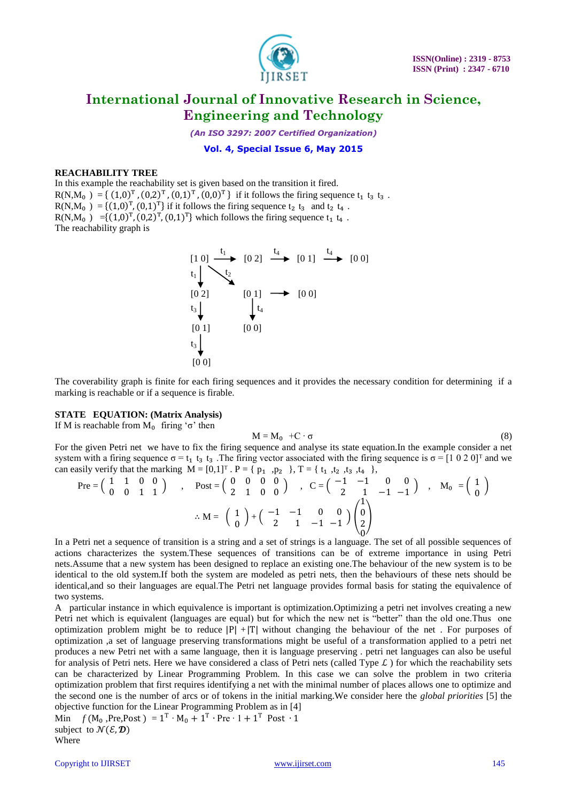

*(An ISO 3297: 2007 Certified Organization)*

### **Vol. 4, Special Issue 6, May 2015**

### **REACHABILITY TREE**

In this example the reachability set is given based on the transition it fired.  $R(N,M_0) = \{ (1,0)^T, (0,2)^T, (0,1)^T, (0,0)^T \}$  if it follows the firing sequence  $t_1$  t<sub>3</sub> t<sub>3</sub>.  $R(N,M_0) = \{(1,0)^T, (0,1)^T\}$  if it follows the firing sequence  $t_2 t_3$  and  $t_2 t_4$ .  $R(N,M_0) = {(1,0)^T, (0,2)^T, (0,1)^T}$  which follows the firing sequence  $t_1 t_4$ . The reachability graph is

[1 0] [0 2] [0 2] [0 1] [0 0] [0 1] [0 0] [0 1] [0 0] [0 0] t<sup>1</sup> t<sup>4</sup> t4 t4 t t<sup>2</sup> <sup>1</sup> t3 t3

The coverability graph is finite for each firing sequences and it provides the necessary condition for determining if a marking is reachable or if a sequence is firable.

### **STATE EQUATION: (Matrix Analysis)**

If M is reachable from  $M_0$  firing ' $\sigma$ ' then

$$
M = M_0 + C \cdot \sigma \tag{8}
$$

For the given Petri net we have to fix the firing sequence and analyse its state equation.In the example consider a net system with a firing sequence  $\sigma = t_1 t_3 t_4$ . The firing vector associated with the firing sequence is  $\sigma = [1 \ 0 \ 2 \ 0]^T$  and we can easily verify that the marking  $M = [0,1]^T$ .  $P = \{p_1, p_2\}$ ,  $T = \{t_1, t_2, t_3, t_4\}$ ,

$$
\begin{array}{ccccccccc}\n\text{Pre} = & \begin{pmatrix} 1 & 1 & 0 & 0 \\ 0 & 0 & 1 & 1 \end{pmatrix} & , & \text{Post} = & \begin{pmatrix} 0 & 0 & 0 & 0 \\ 2 & 1 & 0 & 0 \end{pmatrix} & , & \text{C} = & \begin{pmatrix} -1 & -1 & 0 & 0 \\ 2 & 1 & -1 & -1 \end{pmatrix} & , & \text{M}_0 = & \begin{pmatrix} 1 \\ 0 \end{pmatrix} \\
\therefore \text{M} = & \begin{pmatrix} 1 \\ 0 \end{pmatrix} + \begin{pmatrix} -1 & -1 & 0 & 0 \\ 2 & 1 & -1 & -1 \end{pmatrix} \begin{pmatrix} 1 \\ 0 \\ 2 \\ 0 \end{pmatrix}\n\end{array}
$$

In a Petri net a sequence of transition is a string and a set of strings is a language. The set of all possible sequences of actions characterizes the system.These sequences of transitions can be of extreme importance in using Petri nets.Assume that a new system has been designed to replace an existing one.The behaviour of the new system is to be identical to the old system.If both the system are modeled as petri nets, then the behaviours of these nets should be identical,and so their languages are equal.The Petri net language provides formal basis for stating the equivalence of two systems.

A particular instance in which equivalence is important is optimization.Optimizing a petri net involves creating a new Petri net which is equivalent (languages are equal) but for which the new net is "better" than the old one.Thus one optimization problem might be to reduce  $|P| + |T|$  without changing the behaviour of the net. For purposes of optimization ,a set of language preserving transformations might be useful of a transformation applied to a petri net produces a new Petri net with a same language, then it is language preserving . petri net languages can also be useful for analysis of Petri nets. Here we have considered a class of Petri nets (called Type  $\mathcal{L}$ ) for which the reachability sets can be characterized by Linear Programming Problem. In this case we can solve the problem in two criteria optimization problem that first requires identifying a net with the minimal number of places allows one to optimize and the second one is the number of arcs or of tokens in the initial marking.We consider here the *global priorities* [5] the objective function for the Linear Programming Problem as in [4]

Min  $f(M_0, \text{Pre}, \text{Post}) = 1^{\text{T}} \cdot M_0 + 1^{\text{T}} \cdot \text{Pre} \cdot 1 + 1^{\text{T}} \text{ Post} \cdot 1$ subject to  $\mathcal{N}(\mathcal{E}, \mathcal{D})$ Where